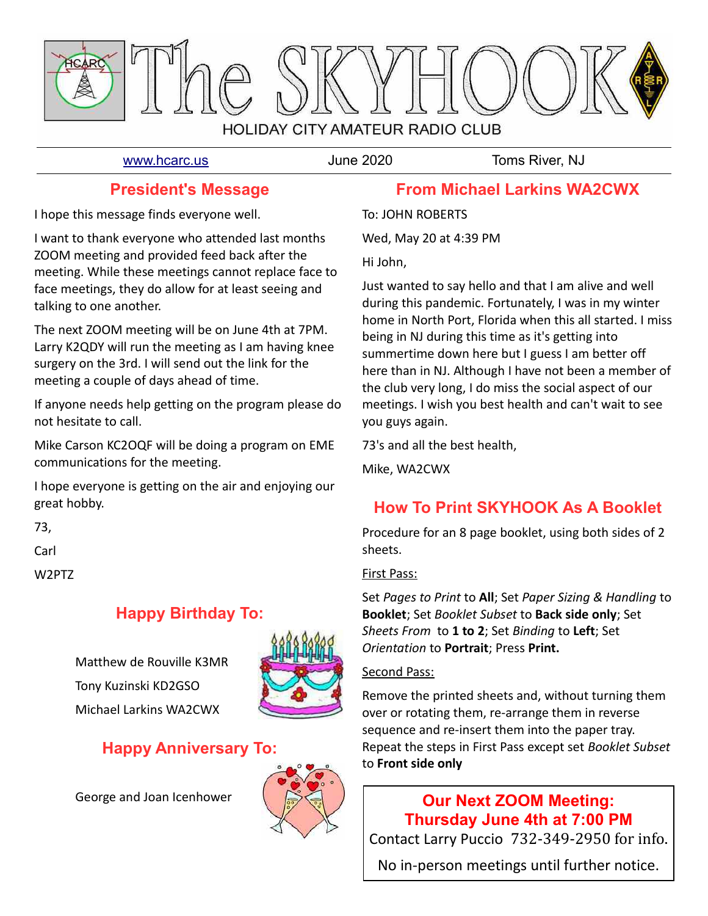

[www.hcarc.us](http://www.hcarc.us/) June 2020 Toms River, NJ

## **President's Message**

I hope this message finds everyone well.

I want to thank everyone who attended last months ZOOM meeting and provided feed back after the meeting. While these meetings cannot replace face to face meetings, they do allow for at least seeing and talking to one another.

The next ZOOM meeting will be on June 4th at 7PM. Larry K2QDY will run the meeting as I am having knee surgery on the 3rd. I will send out the link for the meeting a couple of days ahead of time.

If anyone needs help getting on the program please do not hesitate to call.

Mike Carson KC2OQF will be doing a program on EME communications for the meeting.

I hope everyone is getting on the air and enjoying our great hobby.

73,

Carl

W2PTZ

# **Happy Birthday To:**

Matthew de Rouville K3MR Tony Kuzinski KD2GSO Michael Larkins WA2CWX



# **Happy Anniversary To:**

George and Joan Icenhower



## **From Michael Larkins WA2CWX**

To: JOHN ROBERTS

Wed, May 20 at 4:39 PM

Hi John,

Just wanted to say hello and that I am alive and well during this pandemic. Fortunately, I was in my winter home in North Port, Florida when this all started. I miss being in NJ during this time as it's getting into summertime down here but I guess I am better off here than in NJ. Although I have not been a member of the club very long, I do miss the social aspect of our meetings. I wish you best health and can't wait to see you guys again.

73's and all the best health,

Mike, WA2CWX

# **How To Print SKYHOOK As A Booklet**

Procedure for an 8 page booklet, using both sides of 2 sheets.

## First Pass:

Set *Pages to Print* to **All**; Set *Paper Sizing & Handling* to **Booklet**; Set *Booklet Subset* to **Back side only**; Set *Sheets From* to **1 to 2**; Set *Binding* to **Left**; Set *Orientation* to **Portrait**; Press **Print.**

## Second Pass:

Remove the printed sheets and, without turning them over or rotating them, re-arrange them in reverse sequence and re-insert them into the paper tray. Repeat the steps in First Pass except set *Booklet Subset* to **Front side only**

# **Our Next ZOOM Meeting: Thursday June 4th at 7:00 PM**

Contact Larry Puccio 732-349-2950 for info.

No in-person meetings until further notice.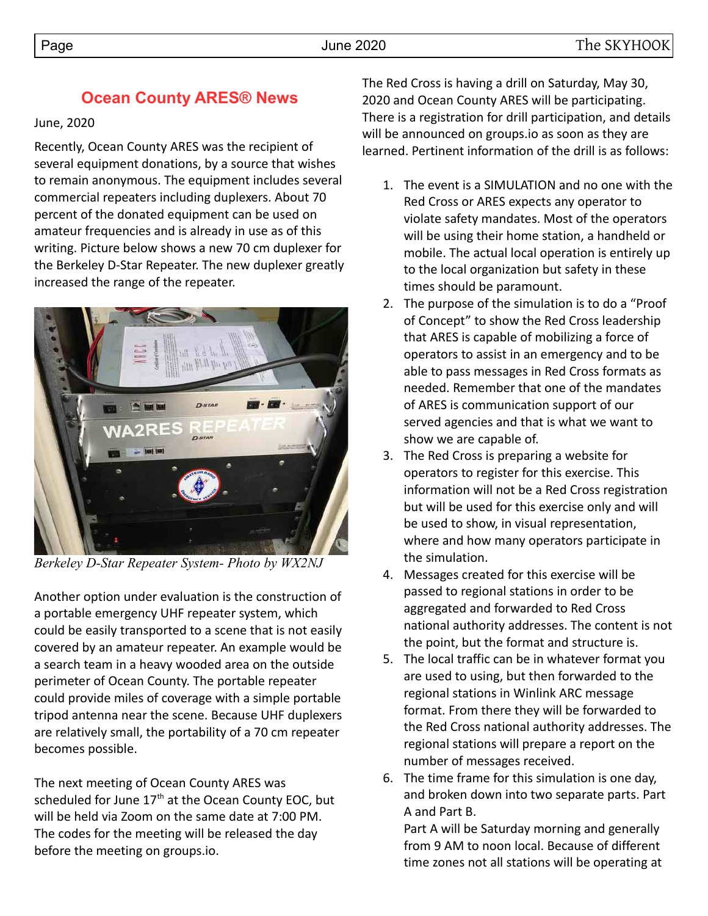## **Ocean County ARES® News**

## June, 2020

Recently, Ocean County ARES was the recipient of several equipment donations, by a source that wishes to remain anonymous. The equipment includes several commercial repeaters including duplexers. About 70 percent of the donated equipment can be used on amateur frequencies and is already in use as of this writing. Picture below shows a new 70 cm duplexer for the Berkeley D-Star Repeater. The new duplexer greatly increased the range of the repeater.



*Berkeley D-Star Repeater System- Photo by WX2NJ* 

Another option under evaluation is the construction of a portable emergency UHF repeater system, which could be easily transported to a scene that is not easily covered by an amateur repeater. An example would be a search team in a heavy wooded area on the outside perimeter of Ocean County. The portable repeater could provide miles of coverage with a simple portable tripod antenna near the scene. Because UHF duplexers are relatively small, the portability of a 70 cm repeater becomes possible.

The next meeting of Ocean County ARES was scheduled for June  $17<sup>th</sup>$  at the Ocean County EOC, but will be held via Zoom on the same date at 7:00 PM. The codes for the meeting will be released the day before the meeting on groups.io.

The Red Cross is having a drill on Saturday, May 30, 2020 and Ocean County ARES will be participating. There is a registration for drill participation, and details will be announced on groups.io as soon as they are learned. Pertinent information of the drill is as follows:

- 1. The event is a SIMULATION and no one with the Red Cross or ARES expects any operator to violate safety mandates. Most of the operators will be using their home station, a handheld or mobile. The actual local operation is entirely up to the local organization but safety in these times should be paramount.
- 2. The purpose of the simulation is to do a "Proof of Concept" to show the Red Cross leadership that ARES is capable of mobilizing a force of operators to assist in an emergency and to be able to pass messages in Red Cross formats as needed. Remember that one of the mandates of ARES is communication support of our served agencies and that is what we want to show we are capable of.
- 3. The Red Cross is preparing a website for operators to register for this exercise. This information will not be a Red Cross registration but will be used for this exercise only and will be used to show, in visual representation, where and how many operators participate in the simulation.
- 4. Messages created for this exercise will be passed to regional stations in order to be aggregated and forwarded to Red Cross national authority addresses. The content is not the point, but the format and structure is.
- 5. The local traffic can be in whatever format you are used to using, but then forwarded to the regional stations in Winlink ARC message format. From there they will be forwarded to the Red Cross national authority addresses. The regional stations will prepare a report on the number of messages received.
- 6. The time frame for this simulation is one day, and broken down into two separate parts. Part A and Part B.

Part A will be Saturday morning and generally from 9 AM to noon local. Because of different time zones not all stations will be operating at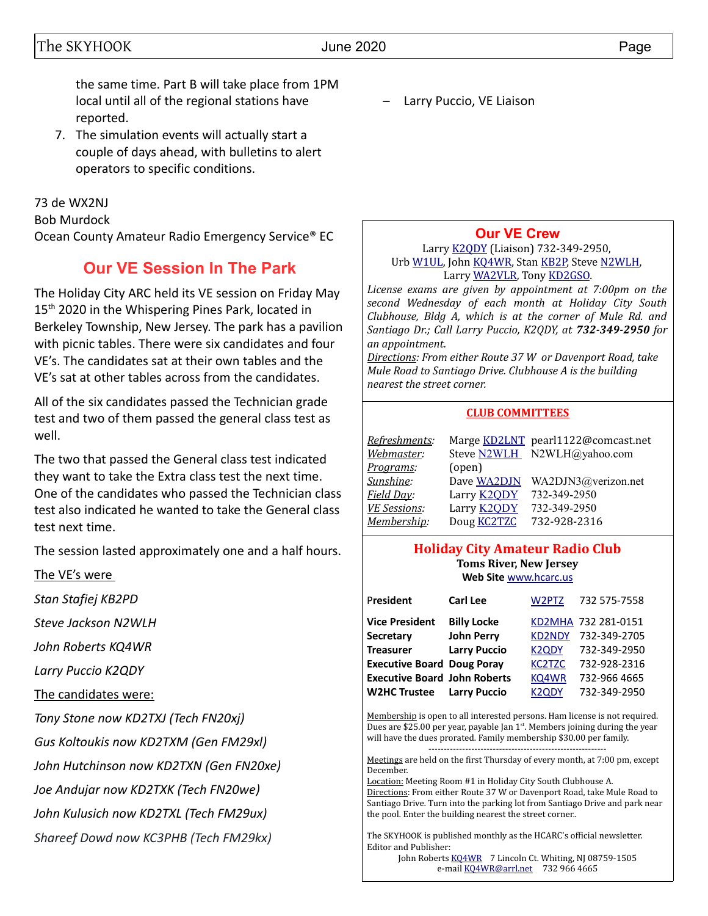the same time. Part B will take place from 1PM local until all of the regional stations have reported.

7. The simulation events will actually start a couple of days ahead, with bulletins to alert operators to specific conditions.

73 de WX2NJ Bob Murdock Ocean County Amateur Radio Emergency Service® EC

## **Our VE Session In The Park**

The Holiday City ARC held its VE session on Friday May 15<sup>th</sup> 2020 in the Whispering Pines Park, located in Berkeley Township, New Jersey. The park has a pavilion with picnic tables. There were six candidates and four VE's. The candidates sat at their own tables and the VE's sat at other tables across from the candidates.

All of the six candidates passed the Technician grade test and two of them passed the general class test as well.

The two that passed the General class test indicated they want to take the Extra class test the next time. One of the candidates who passed the Technician class test also indicated he wanted to take the General class test next time.

The session lasted approximately one and a half hours.

The VE's were

*Stan Stafiej KB2PD*

*Steve Jackson N2WLH*

*John Roberts KQ4WR*

*Larry Puccio K2QDY*

The candidates were:

*Tony Stone now KD2TXJ (Tech FN20xj)*

*Gus Koltoukis now KD2TXM (Gen FM29xl)*

*John Hutchinson now KD2TXN (Gen FN20xe)*

*Joe Andujar now KD2TXK (Tech FN20we)*

*John Kulusich now KD2TXL (Tech FM29ux)*

*Shareef Dowd now KC3PHB (Tech FM29kx)*

Larry Puccio, VE Liaison

## **[Our VE Crew](mailto:lpuccio1@comcast.net?subject=VE)**

Larry [K2QDY](mailto:lpuccio071@gmail.com) (Liaison) 732-349-2950, Urb [W1UL,](mailto:urb@W1UL.com) John [KQ4WR,](mailto:kq4wr@arrl.net) Stan [KB2P,](mailto:kb2pd@hotmail.com) Steve [N2WLH,](mailto:n2wlh@yahoo.com) Larry [WA2VLR,](mailto:lloscalz@optonline.net) Tony [KD2GSO.](mailto:tonyk613@comcast.net)

*License exams are given by appointment at 7:00pm on the second Wednesday of each month at Holiday City South Clubhouse, Bldg A, which is at the corner of Mule Rd. and Santiago Dr.; Call Larry Puccio, K2QDY, at 732-349-2950 for an appointment.* 

*Directions: From either Route 37 W or Davenport Road, take Mule Road to Santiago Drive. Clubhouse A is the building nearest the street corner.*

### **CLUB COMMITTEES**

| Refreshments:       |                    | Marge KD2LNT pearl1122@comcast.net |
|---------------------|--------------------|------------------------------------|
| Webmaster:          |                    | Steve N2WLH N2WLH@yahoo.com        |
| <u>Programs</u> :   | (open)             |                                    |
| Sunshine:           | Dave WA2DJN        | WA2DJN3@verizon.net                |
| Field Day:          | Larry <b>K2QDY</b> | 732-349-2950                       |
| <b>VE Sessions:</b> | Larry <b>K2QDY</b> | 732-349-2950                       |
| Membership:         | Doug <b>KC2TZC</b> | 732-928-2316                       |

### **Holiday City Amateur Radio Club Toms River, New Jersey Web Site** [www.hcarc.us](http://www.hcarc.us/)

| President                           | <b>Carl Lee</b>     | W2PTZ                            | 732 575-7558        |
|-------------------------------------|---------------------|----------------------------------|---------------------|
| <b>Vice President</b>               | <b>Billy Locke</b>  |                                  | KD2MHA 732 281-0151 |
| Secretary                           | <b>John Perry</b>   | <b>KD2NDY</b>                    | 732-349-2705        |
| <b>Treasurer</b>                    | <b>Larry Puccio</b> | <b>K2QDY</b>                     | 732-349-2950        |
| <b>Executive Board Doug Poray</b>   |                     | KC <sub>2</sub> T <sub>Z</sub> C | 732-928-2316        |
| <b>Executive Board John Roberts</b> |                     | KQ4WR                            | 732-966 4665        |
| <b>W2HC Trustee</b>                 | <b>Larry Puccio</b> | K <sub>2</sub> ODY               | 732-349-2950        |

Membership is open to all interested persons. Ham license is not required. Dues are \$25.00 per year, payable Jan  $1<sup>st</sup>$ . Members joining during the year will have the dues prorated. Family membership \$30.00 per family.

---------------------------------------------------------- Meetings are held on the first Thursday of every month, at 7:00 pm, except December.

Location: Meeting Room #1 in Holiday City South Clubhouse A. Directions: From either Route 37 W or Davenport Road, take Mule Road to Santiago Drive. Turn into the parking lot from Santiago Drive and park near the pool. Enter the building nearest the street corner..

The SKYHOOK is published monthly as the HCARC's official newsletter. Editor and Publisher:

John Roberts [KQ4WR](mailto:kq4wr@arrl.net) 7 Lincoln Ct. Whiting, NJ 08759-1505 e-mail [KQ4WR@arrl.net](mailto:KQ4WR@arrl.net) 732 966 4665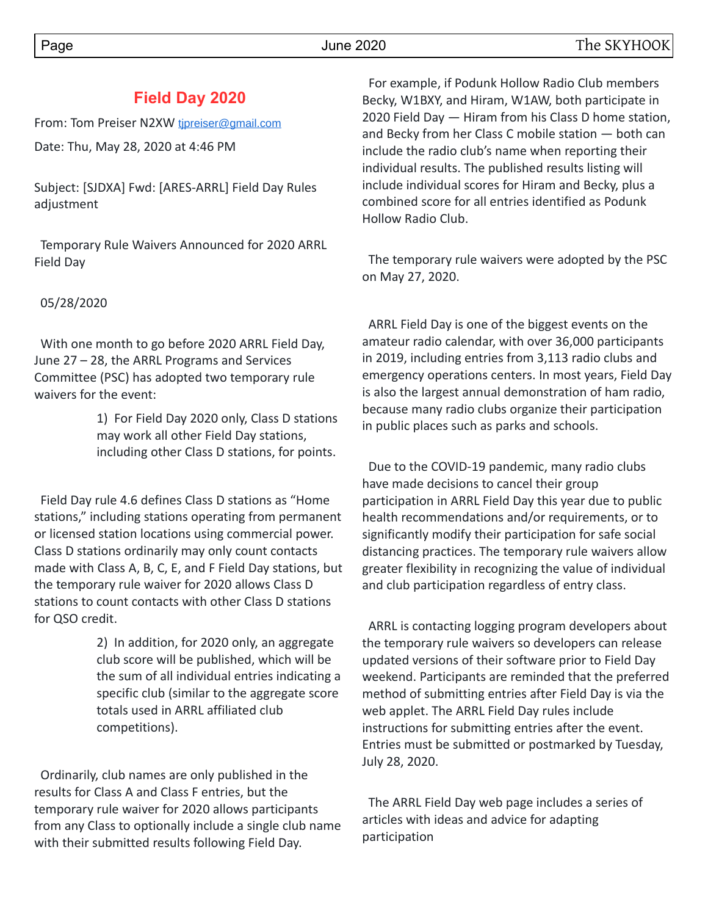## **Field Day 2020**

From: Tom Preiser N2XW tipreiser@gmail.com

Date: Thu, May 28, 2020 at 4:46 PM

Subject: [SJDXA] Fwd: [ARES-ARRL] Field Day Rules adjustment

Temporary Rule Waivers Announced for 2020 ARRL Field Day

### 05/28/2020

 With one month to go before 2020 ARRL Field Day, June 27 – 28, the ARRL Programs and Services Committee (PSC) has adopted two temporary rule waivers for the event:

> 1) For Field Day 2020 only, Class D stations may work all other Field Day stations, including other Class D stations, for points.

 Field Day rule 4.6 defines Class D stations as "Home stations," including stations operating from permanent or licensed station locations using commercial power. Class D stations ordinarily may only count contacts made with Class A, B, C, E, and F Field Day stations, but the temporary rule waiver for 2020 allows Class D stations to count contacts with other Class D stations for QSO credit.

> 2) In addition, for 2020 only, an aggregate club score will be published, which will be the sum of all individual entries indicating a specific club (similar to the aggregate score totals used in ARRL affiliated club competitions).

 Ordinarily, club names are only published in the results for Class A and Class F entries, but the temporary rule waiver for 2020 allows participants from any Class to optionally include a single club name with their submitted results following Field Day.

 For example, if Podunk Hollow Radio Club members Becky, W1BXY, and Hiram, W1AW, both participate in 2020 Field Day — Hiram from his Class D home station, and Becky from her Class C mobile station — both can include the radio club's name when reporting their individual results. The published results listing will include individual scores for Hiram and Becky, plus a combined score for all entries identified as Podunk Hollow Radio Club.

 The temporary rule waivers were adopted by the PSC on May 27, 2020.

 ARRL Field Day is one of the biggest events on the amateur radio calendar, with over 36,000 participants in 2019, including entries from 3,113 radio clubs and emergency operations centers. In most years, Field Day is also the largest annual demonstration of ham radio, because many radio clubs organize their participation in public places such as parks and schools.

 Due to the COVID-19 pandemic, many radio clubs have made decisions to cancel their group participation in ARRL Field Day this year due to public health recommendations and/or requirements, or to significantly modify their participation for safe social distancing practices. The temporary rule waivers allow greater flexibility in recognizing the value of individual and club participation regardless of entry class.

 ARRL is contacting logging program developers about the temporary rule waivers so developers can release updated versions of their software prior to Field Day weekend. Participants are reminded that the preferred method of submitting entries after Field Day is via the web applet. The ARRL Field Day rules include instructions for submitting entries after the event. Entries must be submitted or postmarked by Tuesday, July 28, 2020.

 The ARRL Field Day web page includes a series of articles with ideas and advice for adapting participation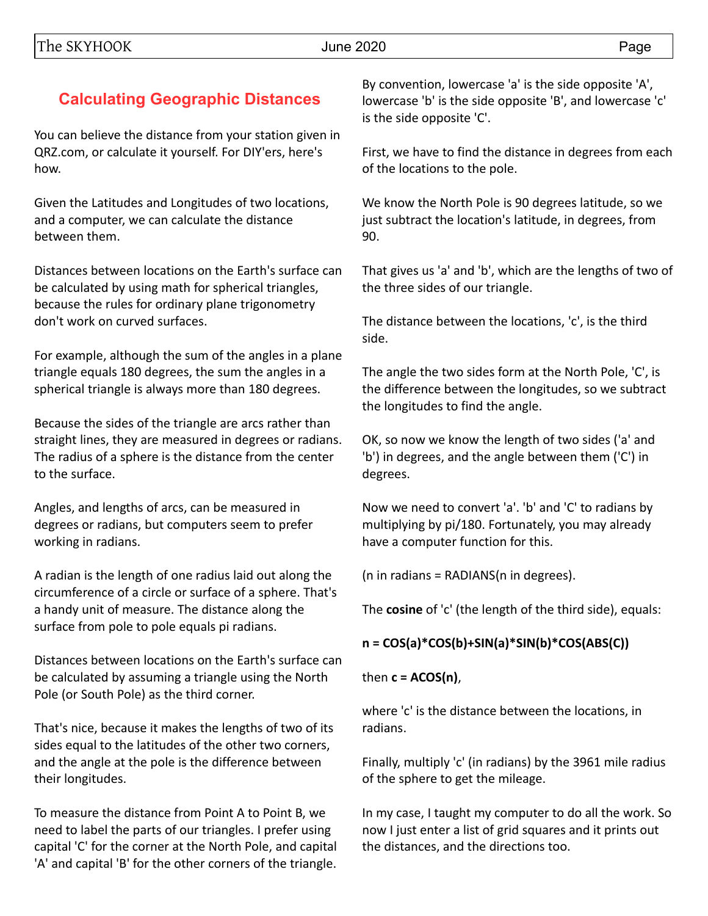# **Calculating Geographic Distances**

You can believe the distance from your station given in QRZ.com, or calculate it yourself. For DIY'ers, here's how.

Given the Latitudes and Longitudes of two locations, and a computer, we can calculate the distance between them.

Distances between locations on the Earth's surface can be calculated by using math for spherical triangles, because the rules for ordinary plane trigonometry don't work on curved surfaces.

For example, although the sum of the angles in a plane triangle equals 180 degrees, the sum the angles in a spherical triangle is always more than 180 degrees.

Because the sides of the triangle are arcs rather than straight lines, they are measured in degrees or radians. The radius of a sphere is the distance from the center to the surface.

Angles, and lengths of arcs, can be measured in degrees or radians, but computers seem to prefer working in radians.

A radian is the length of one radius laid out along the circumference of a circle or surface of a sphere. That's a handy unit of measure. The distance along the surface from pole to pole equals pi radians.

Distances between locations on the Earth's surface can be calculated by assuming a triangle using the North Pole (or South Pole) as the third corner.

That's nice, because it makes the lengths of two of its sides equal to the latitudes of the other two corners, and the angle at the pole is the difference between their longitudes.

To measure the distance from Point A to Point B, we need to label the parts of our triangles. I prefer using capital 'C' for the corner at the North Pole, and capital 'A' and capital 'B' for the other corners of the triangle.

By convention, lowercase 'a' is the side opposite 'A', lowercase 'b' is the side opposite 'B', and lowercase 'c' is the side opposite 'C'.

First, we have to find the distance in degrees from each of the locations to the pole.

We know the North Pole is 90 degrees latitude, so we just subtract the location's latitude, in degrees, from 90.

That gives us 'a' and 'b', which are the lengths of two of the three sides of our triangle.

The distance between the locations, 'c', is the third side.

The angle the two sides form at the North Pole, 'C', is the difference between the longitudes, so we subtract the longitudes to find the angle.

OK, so now we know the length of two sides ('a' and 'b') in degrees, and the angle between them ('C') in degrees.

Now we need to convert 'a'. 'b' and 'C' to radians by multiplying by pi/180. Fortunately, you may already have a computer function for this.

(n in radians = RADIANS(n in degrees).

The **cosine** of 'c' (the length of the third side), equals:

## **n = COS(a)\*COS(b)+SIN(a)\*SIN(b)\*COS(ABS(C))**

then **c = ACOS(n)**,

where 'c' is the distance between the locations, in radians.

Finally, multiply 'c' (in radians) by the 3961 mile radius of the sphere to get the mileage.

In my case, I taught my computer to do all the work. So now I just enter a list of grid squares and it prints out the distances, and the directions too.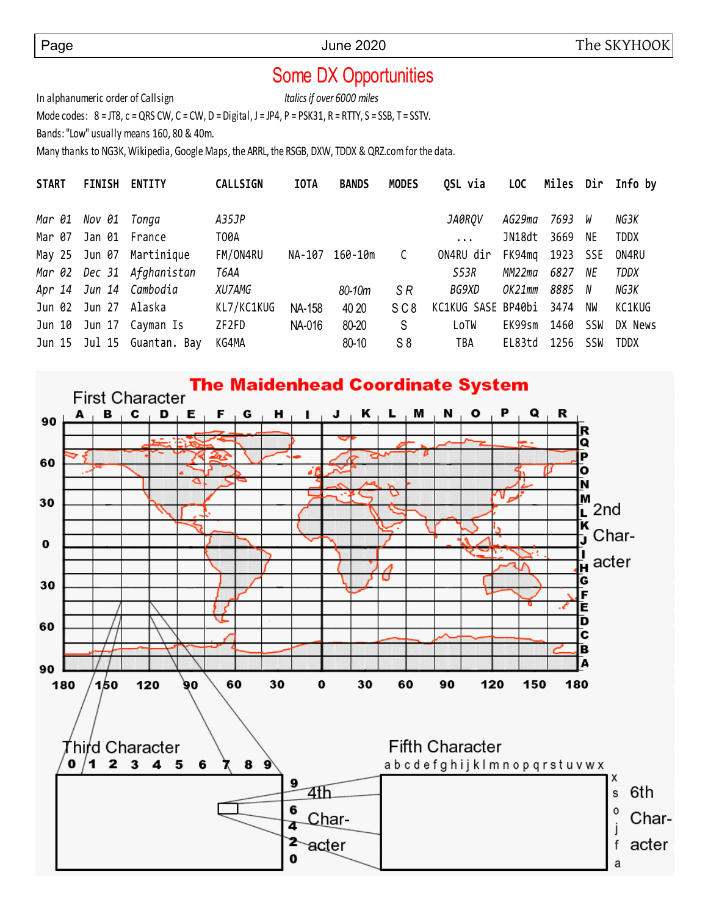# Some DX Opportunities

In alphanumeric order of Callsign *Italics if over 6000 miles*

Mode codes:  $8 = JTS$ ,  $c = QRS CW$ ,  $C = CW$ ,  $D = Digital$ ,  $J = JPA$ ,  $P = PSK31$ ,  $R = RTTY$ ,  $S = SSB$ ,  $T = SSTV$ .

Bands: "Low" usually means 160, 80 & 40m.

Many thanks to NG3K, Wikipedia, Google Maps, the ARRL, the RSGB, DXW, TDDX & QRZ.com for the data.

| <b>START</b> | <b>FINISH</b>       | <b>ENTITY</b>              | <b>CALLSIGN</b> | <b>IOTA</b> | <b>BANDS</b> | <b>MODES</b>    | QSL via            | LOC    |          |     | Miles Dir Info by |
|--------------|---------------------|----------------------------|-----------------|-------------|--------------|-----------------|--------------------|--------|----------|-----|-------------------|
|              | Mar 01 Nov 01 Tonga |                            | A35JP           |             |              |                 | JA0ROV             | AG29ma | 7693 W   |     | NG3K              |
| Mar 07       | Jan 01 France       |                            | T00A            |             |              |                 | $\cdots$           | JN18dt | 3669     | NE  | <b>TDDX</b>       |
|              |                     | May 25 Jun 07 Martinique   | FM/ON4RU        | NA-107      | 160-10m      | C               | ON4RU dir          | FK94mq | 1923 SSE |     | ON4RU             |
|              |                     | Mar 02 Dec 31 Afghanistan  | T6AA            |             |              |                 | S53R               | MM22ma | 6827     | NE  | <b>TDDX</b>       |
|              |                     | Apr 14 Jun 14 Cambodia     | XU7AMG          |             | 80-10m       | SR.             | BG9XD              | OK21mm | 8885 N   |     | NG3K              |
| Jun 02       | Jun 27 Alaska       |                            | KL7/KC1KUG      | NA-158      | 40 20        | SC <sub>8</sub> | KC1KUG SASE BP40bi |        | 3474     | NW  | KC1KUG            |
| Jun 10       |                     | Jun 17 Cayman Is           | ZF2FD           | NA-016      | 80-20        | S               | LoTW               | EK99sm | 1460     | SSW | DX News           |
|              |                     | Jun 15 Jul 15 Guantan. Bay | KG4MA           |             | 80-10        | $S_8$           | TBA                | EL83td | 1256     | SSW | <b>TDDX</b>       |

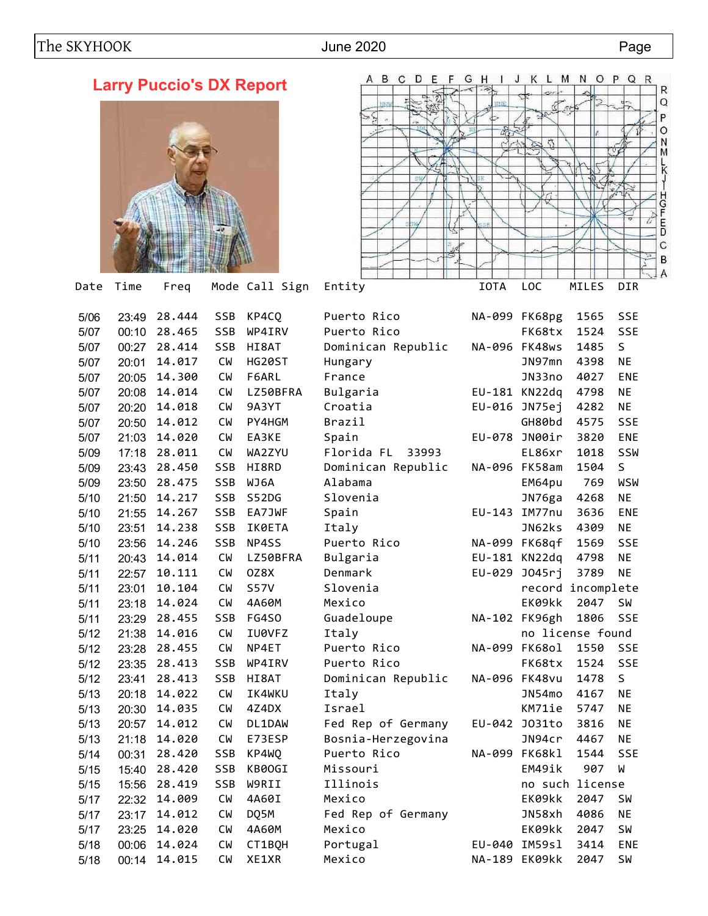# **Larry Puccio's DX Report**





| 5/06 | 23:49 | 28.444 | <b>SSB</b> | KP4CQ       | Puerto Rico         |        | NA-099 FK68pg     | 1565 | <b>SSE</b> |
|------|-------|--------|------------|-------------|---------------------|--------|-------------------|------|------------|
| 5/07 | 00:10 | 28.465 | SSB        | WP4IRV      | Puerto Rico         |        | FK68tx            | 1524 | SSE        |
| 5/07 | 00:27 | 28.414 | SSB        | HI8AT       | Dominican Republic  |        | NA-096 FK48ws     | 1485 | S          |
| 5/07 | 20:01 | 14.017 | <b>CW</b>  | HG20ST      | Hungary             |        | JN97mn            | 4398 | <b>NE</b>  |
| 5/07 | 20:05 | 14.300 | <b>CW</b>  | F6ARL       | France              |        | JN33no            | 4027 | <b>ENE</b> |
| 5/07 | 20:08 | 14.014 | <b>CW</b>  | LZ50BFRA    | Bulgaria            |        | EU-181 KN22dq     | 4798 | <b>NE</b>  |
| 5/07 | 20:20 | 14.018 | <b>CW</b>  | 9A3YT       | Croatia             |        | EU-016 JN75ej     | 4282 | <b>NE</b>  |
| 5/07 | 20:50 | 14.012 | <b>CW</b>  | PY4HGM      | Brazil              |        | GH80bd            | 4575 | SSE        |
| 5/07 | 21:03 | 14.020 | <b>CW</b>  | EA3KE       | Spain               |        | EU-078 JN00ir     | 3820 | <b>ENE</b> |
| 5/09 | 17:18 | 28.011 | <b>CW</b>  | WA2ZYU      | Florida FL<br>33993 |        | EL86xr            | 1018 | SSW        |
| 5/09 | 23:43 | 28.450 | <b>SSB</b> | HI8RD       | Dominican Republic  |        | NA-096 FK58am     | 1504 | S          |
| 5/09 | 23:50 | 28.475 | SSB        | WJ6A        | Alabama             |        | EM64pu            | 769  | WSW        |
| 5/10 | 21:50 | 14.217 | <b>SSB</b> | S52DG       | Slovenia            |        | JN76ga            | 4268 | NE         |
| 5/10 | 21:55 | 14.267 | SSB        | EA7JWF      | Spain               |        | EU-143 IM77nu     | 3636 | <b>ENE</b> |
| 5/10 | 23:51 | 14.238 | SSB        | IK0ETA      | Italy               |        | JN62ks            | 4309 | NE         |
| 5/10 | 23:56 | 14.246 | SSB        | NP4SS       | Puerto Rico         |        | NA-099 FK68qf     | 1569 | SSE        |
| 5/11 | 20:43 | 14.014 | <b>CW</b>  | LZ50BFRA    | Bulgaria            |        | EU-181 KN22dq     | 4798 | <b>NE</b>  |
| 5/11 | 22:57 | 10.111 | <b>CW</b>  | OZ8X        | Denmark             |        | EU-029 J045rj     | 3789 | <b>NE</b>  |
| 5/11 | 23:01 | 10.104 | <b>CW</b>  | <b>S57V</b> | Slovenia            |        | record incomplete |      |            |
| 5/11 | 23:18 | 14.024 | <b>CW</b>  | 4A60M       | Mexico              |        | EK09kk            | 2047 | <b>SW</b>  |
| 5/11 | 23:29 | 28.455 | SSB        | FG4S0       | Guadeloupe          |        | NA-102 FK96gh     | 1806 | SSE        |
| 5/12 | 21:38 | 14.016 | СW         | IU0VFZ      | Italy               |        | no license found  |      |            |
| 5/12 | 23:28 | 28.455 | <b>CW</b>  | NP4ET       | Puerto Rico         |        | NA-099 FK68ol     | 1550 | SSE        |
| 5/12 | 23:35 | 28.413 | <b>SSB</b> | WP4IRV      | Puerto Rico         |        | FK68tx            | 1524 | SSE        |
| 5/12 | 23:41 | 28.413 | SSB        | HI8AT       | Dominican Republic  |        | NA-096 FK48vu     | 1478 | S          |
| 5/13 | 20:18 | 14.022 | <b>CW</b>  | IK4WKU      | Italy               |        | JN54mo            | 4167 | <b>NE</b>  |
| 5/13 | 20:30 | 14.035 | СW         | 4Z4DX       | Israel              |        | KM71ie            | 5747 | <b>NE</b>  |
| 5/13 | 20:57 | 14.012 | СW         | DL1DAW      | Fed Rep of Germany  |        | EU-042 J031to     | 3816 | <b>NE</b>  |
| 5/13 | 21:18 | 14.020 | <b>CW</b>  | E73ESP      | Bosnia-Herzegovina  |        | JN94cr            | 4467 | <b>NE</b>  |
| 5/14 | 00:31 | 28.420 | SSB        | KP4WQ       | Puerto Rico         |        | NA-099 FK68kl     | 1544 | SSE        |
| 5/15 | 15:40 | 28.420 | SSB        | KB00GI      | Missouri            |        | EM49ik            | 907  | W          |
| 5/15 | 15:56 | 28.419 | SSB        | W9RII       | Illinois            |        | no such license   |      |            |
| 5/17 | 22:32 | 14.009 | <b>CW</b>  | 4A60I       | Mexico              |        | EK09kk            | 2047 | <b>SW</b>  |
| 5/17 | 23:17 | 14.012 | <b>CW</b>  | DQ5M        | Fed Rep of Germany  |        | JN58xh            | 4086 | <b>NE</b>  |
| 5/17 | 23:25 | 14.020 | <b>CW</b>  | 4A60M       | Mexico              |        | EK09kk            | 2047 | <b>SW</b>  |
| 5/18 | 00:06 | 14.024 | <b>CW</b>  | CT1BQH      | Portugal            | EU-040 | IM59sl            | 3414 | <b>ENE</b> |
| 5/18 | 00:14 | 14.015 | <b>CW</b>  | XE1XR       | Mexico              |        | NA-189 EK09kk     | 2047 | <b>SW</b>  |
|      |       |        |            |             |                     |        |                   |      |            |

| NA-099   | FK68pg           | 1565       | <b>SSE</b> |
|----------|------------------|------------|------------|
|          | FK68tx           | 1524       | SSE        |
| NA-096   | FK48ws           | 1485       | S          |
|          | JN97mn           | 4398       | NE         |
|          | JN33no           | 4027       | <b>ENE</b> |
| EU-181   | KN22dq           | 4798       | <b>NE</b>  |
| EU-016   | JN75ej           | 4282       | NE         |
|          | GH80bd           | 4575       | <b>SSE</b> |
| EU-078   | JN00ir           | 3820       | <b>ENE</b> |
|          | EL86xr           | 1018       | SSW        |
| NA-096   | FK58am           | 1504       | S          |
|          | EM64pu           | 769        | WSW        |
|          | JN76ga           | 4268       | <b>NE</b>  |
| $EU-143$ | IM77nu           | 3636       | ENE        |
|          | JN62ks           | 4309       | <b>NE</b>  |
| NA-099   | FK68qf           | 1569       | <b>SSE</b> |
| EU-181   | KN22dq           | 4798       | NE         |
| EU-029   | J045rj           | 3789       | <b>NE</b>  |
|          | record           | incomplete |            |
|          | EK09kk           | 2047       | SW         |
| NA-102   | FK96gh           | 1806       | <b>SSE</b> |
|          | no license found |            |            |
| NA-099   | <b>FK68ol</b>    | 1550       | <b>SSE</b> |
|          | FK68tx           | 1524       | <b>SSE</b> |
| NA-096   | FK48vu           | 1478       | S          |
|          | JN54mo           | 4167       | <b>NE</b>  |
|          | KM71ie           | 5747       | NE         |
| EU-042   | J031to           | 3816       | <b>NE</b>  |
|          | JN94cr           | 4467       | <b>NE</b>  |
| NA-099   | FK68kl           | 1544       | <b>SSE</b> |
|          | EM49ik           | 907        | M          |
|          | no such          | license    |            |
|          | EK09kk           | 2047       | SW         |
|          | JN58xh           | 4086       | <b>NE</b>  |
|          | EK09kk           | 2047       | <b>SW</b>  |
| EU-040   | IM59s1           | 3414       | <b>ENE</b> |
| NA-189   | EK09kk           | 2047       | SW         |